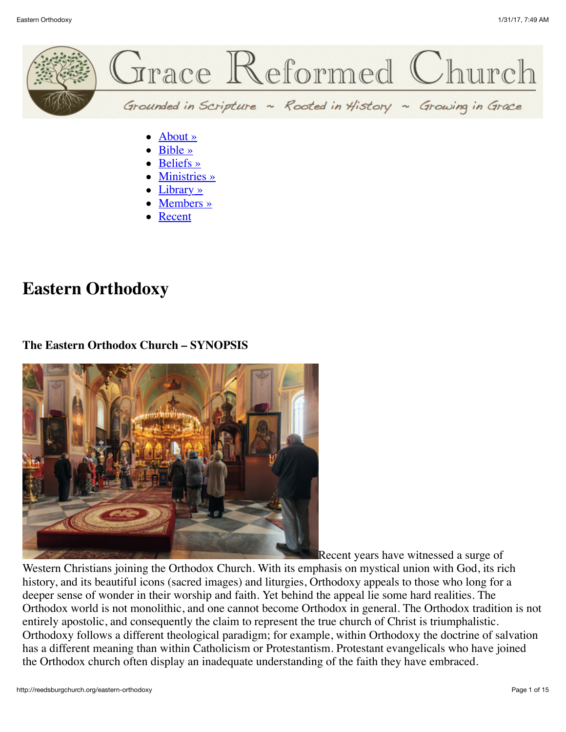

- [Beliefs »](http://reedsburgchurch.org/beliefs)
- [Ministries »](http://reedsburgchurch.org/ministries)
- [Library »](http://reedsburgchurch.org/librarylibrary)
- [Members »](http://reedsburgchurch.org/members)
- [Recent](http://reedsburgchurch.org/recent)

# **Eastern Orthodoxy**

#### **The Eastern Orthodox Church – SYNOPSIS**



Recent years have witnessed a surge of

Western Christians joining the Orthodox Church. With its emphasis on mystical union with God, its rich history, and its beautiful icons (sacred images) and liturgies, Orthodoxy appeals to those who long for a deeper sense of wonder in their worship and faith. Yet behind the appeal lie some hard realities. The Orthodox world is not monolithic, and one cannot become Orthodox in general. The Orthodox tradition is not entirely apostolic, and consequently the claim to represent the true church of Christ is triumphalistic. Orthodoxy follows a different theological paradigm; for example, within Orthodoxy the doctrine of salvation has a different meaning than within Catholicism or Protestantism. Protestant evangelicals who have joined the Orthodox church often display an inadequate understanding of the faith they have embraced.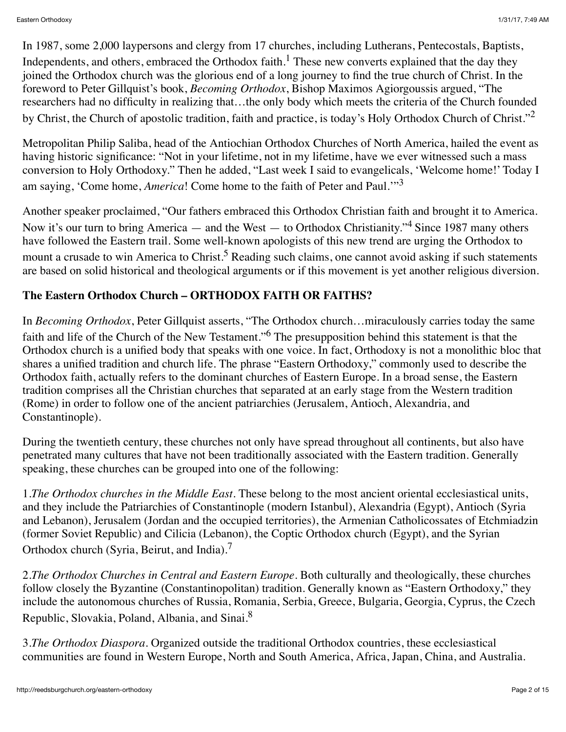In 1987, some 2,000 laypersons and clergy from 17 churches, including Lutherans, Pentecostals, Baptists, Independents, and others, embraced the Orthodox faith.<sup>1</sup> These new converts explained that the day they joined the Orthodox church was the glorious end of a long journey to find the true church of Christ. In the foreword to Peter Gillquist's book, *Becoming Orthodox*, Bishop Maximos Agiorgoussis argued, "The researchers had no difficulty in realizing that…the only body which meets the criteria of the Church founded by Christ, the Church of apostolic tradition, faith and practice, is today's Holy Orthodox Church of Christ."<sup>2</sup>

Metropolitan Philip Saliba, head of the Antiochian Orthodox Churches of North America, hailed the event as having historic significance: "Not in your lifetime, not in my lifetime, have we ever witnessed such a mass conversion to Holy Orthodoxy." Then he added, "Last week I said to evangelicals, 'Welcome home!' Today I am saying, 'Come home, *America*! Come home to the faith of Peter and Paul.'"<sup>3</sup>

Another speaker proclaimed, "Our fathers embraced this Orthodox Christian faith and brought it to America. Now it's our turn to bring America — and the West — to Orthodox Christianity."<sup>4</sup> Since 1987 many others have followed the Eastern trail. Some well-known apologists of this new trend are urging the Orthodox to mount a crusade to win America to Christ.<sup>5</sup> Reading such claims, one cannot avoid asking if such statements are based on solid historical and theological arguments or if this movement is yet another religious diversion.

# **The Eastern Orthodox Church – ORTHODOX FAITH OR FAITHS?**

In *Becoming Orthodox*, Peter Gillquist asserts, "The Orthodox church…miraculously carries today the same faith and life of the Church of the New Testament."<sup>6</sup> The presupposition behind this statement is that the Orthodox church is a unified body that speaks with one voice. In fact, Orthodoxy is not a monolithic bloc that shares a unified tradition and church life. The phrase "Eastern Orthodoxy," commonly used to describe the Orthodox faith, actually refers to the dominant churches of Eastern Europe. In a broad sense, the Eastern tradition comprises all the Christian churches that separated at an early stage from the Western tradition (Rome) in order to follow one of the ancient patriarchies (Jerusalem, Antioch, Alexandria, and Constantinople).

During the twentieth century, these churches not only have spread throughout all continents, but also have penetrated many cultures that have not been traditionally associated with the Eastern tradition. Generally speaking, these churches can be grouped into one of the following:

1.*The Orthodox churches in the Middle East*. These belong to the most ancient oriental ecclesiastical units, and they include the Patriarchies of Constantinople (modern Istanbul), Alexandria (Egypt), Antioch (Syria and Lebanon), Jerusalem (Jordan and the occupied territories), the Armenian Catholicossates of Etchmiadzin (former Soviet Republic) and Cilicia (Lebanon), the Coptic Orthodox church (Egypt), and the Syrian Orthodox church (Syria, Beirut, and India).<sup>7</sup>

2.*The Orthodox Churches in Central and Eastern Europe*. Both culturally and theologically, these churches follow closely the Byzantine (Constantinopolitan) tradition. Generally known as "Eastern Orthodoxy," they include the autonomous churches of Russia, Romania, Serbia, Greece, Bulgaria, Georgia, Cyprus, the Czech Republic, Slovakia, Poland, Albania, and Sinai.<sup>8</sup>

3.*The Orthodox Diaspora*. Organized outside the traditional Orthodox countries, these ecclesiastical communities are found in Western Europe, North and South America, Africa, Japan, China, and Australia.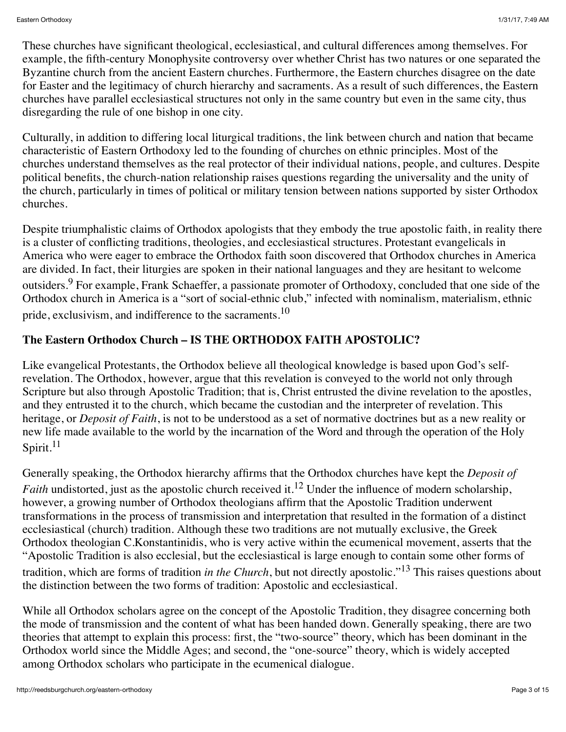These churches have significant theological, ecclesiastical, and cultural differences among themselves. For example, the fifth-century Monophysite controversy over whether Christ has two natures or one separated the Byzantine church from the ancient Eastern churches. Furthermore, the Eastern churches disagree on the date for Easter and the legitimacy of church hierarchy and sacraments. As a result of such differences, the Eastern churches have parallel ecclesiastical structures not only in the same country but even in the same city, thus disregarding the rule of one bishop in one city.

Culturally, in addition to differing local liturgical traditions, the link between church and nation that became characteristic of Eastern Orthodoxy led to the founding of churches on ethnic principles. Most of the churches understand themselves as the real protector of their individual nations, people, and cultures. Despite political benefits, the church-nation relationship raises questions regarding the universality and the unity of the church, particularly in times of political or military tension between nations supported by sister Orthodox churches.

Despite triumphalistic claims of Orthodox apologists that they embody the true apostolic faith, in reality there is a cluster of conflicting traditions, theologies, and ecclesiastical structures. Protestant evangelicals in America who were eager to embrace the Orthodox faith soon discovered that Orthodox churches in America are divided. In fact, their liturgies are spoken in their national languages and they are hesitant to welcome outsiders.<sup>9</sup> For example, Frank Schaeffer, a passionate promoter of Orthodoxy, concluded that one side of the Orthodox church in America is a "sort of social-ethnic club," infected with nominalism, materialism, ethnic pride, exclusivism, and indifference to the sacraments.<sup>10</sup>

## **The Eastern Orthodox Church – IS THE ORTHODOX FAITH APOSTOLIC?**

Like evangelical Protestants, the Orthodox believe all theological knowledge is based upon God's selfrevelation. The Orthodox, however, argue that this revelation is conveyed to the world not only through Scripture but also through Apostolic Tradition; that is, Christ entrusted the divine revelation to the apostles, and they entrusted it to the church, which became the custodian and the interpreter of revelation. This heritage, or *Deposit of Faith*, is not to be understood as a set of normative doctrines but as a new reality or new life made available to the world by the incarnation of the Word and through the operation of the Holy Spirit.<sup>11</sup>

Generally speaking, the Orthodox hierarchy affirms that the Orthodox churches have kept the *Deposit of Faith* undistorted, just as the apostolic church received it.<sup>12</sup> Under the influence of modern scholarship, however, a growing number of Orthodox theologians affirm that the Apostolic Tradition underwent transformations in the process of transmission and interpretation that resulted in the formation of a distinct ecclesiastical (church) tradition. Although these two traditions are not mutually exclusive, the Greek Orthodox theologian C.Konstantinidis, who is very active within the ecumenical movement, asserts that the "Apostolic Tradition is also ecclesial, but the ecclesiastical is large enough to contain some other forms of tradition, which are forms of tradition *in the Church*, but not directly apostolic."13 This raises questions about the distinction between the two forms of tradition: Apostolic and ecclesiastical.

While all Orthodox scholars agree on the concept of the Apostolic Tradition, they disagree concerning both the mode of transmission and the content of what has been handed down. Generally speaking, there are two theories that attempt to explain this process: first, the "two-source" theory, which has been dominant in the Orthodox world since the Middle Ages; and second, the "one-source" theory, which is widely accepted among Orthodox scholars who participate in the ecumenical dialogue.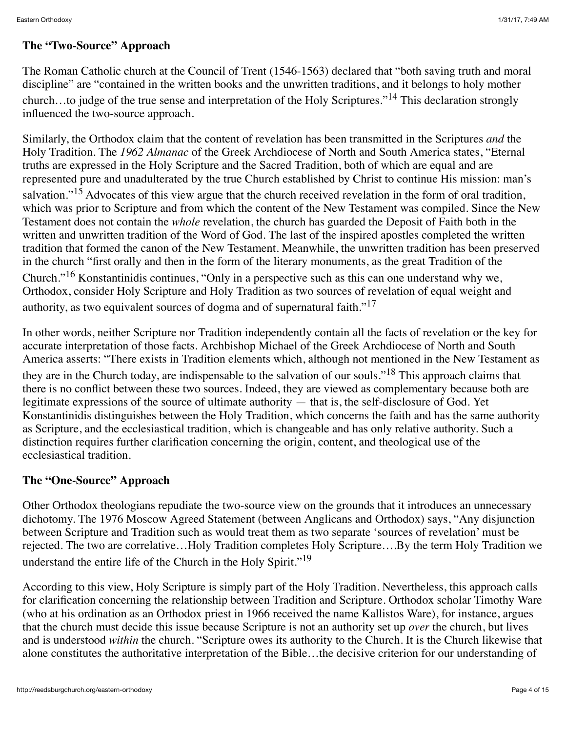## **The "Two-Source" Approach**

The Roman Catholic church at the Council of Trent (1546-1563) declared that "both saving truth and moral discipline" are "contained in the written books and the unwritten traditions, and it belongs to holy mother church…to judge of the true sense and interpretation of the Holy Scriptures."14 This declaration strongly influenced the two-source approach.

Similarly, the Orthodox claim that the content of revelation has been transmitted in the Scriptures *and* the Holy Tradition. The *1962 Almanac* of the Greek Archdiocese of North and South America states, "Eternal truths are expressed in the Holy Scripture and the Sacred Tradition, both of which are equal and are represented pure and unadulterated by the true Church established by Christ to continue His mission: man's salvation."<sup>15</sup> Advocates of this view argue that the church received revelation in the form of oral tradition, which was prior to Scripture and from which the content of the New Testament was compiled. Since the New Testament does not contain the *whole* revelation, the church has guarded the Deposit of Faith both in the written and unwritten tradition of the Word of God. The last of the inspired apostles completed the written tradition that formed the canon of the New Testament. Meanwhile, the unwritten tradition has been preserved in the church "first orally and then in the form of the literary monuments, as the great Tradition of the Church."16 Konstantinidis continues, "Only in a perspective such as this can one understand why we, Orthodox, consider Holy Scripture and Holy Tradition as two sources of revelation of equal weight and authority, as two equivalent sources of dogma and of supernatural faith."<sup>17</sup>

In other words, neither Scripture nor Tradition independently contain all the facts of revelation or the key for accurate interpretation of those facts. Archbishop Michael of the Greek Archdiocese of North and South America asserts: "There exists in Tradition elements which, although not mentioned in the New Testament as they are in the Church today, are indispensable to the salvation of our souls."<sup>18</sup> This approach claims that there is no conflict between these two sources. Indeed, they are viewed as complementary because both are legitimate expressions of the source of ultimate authority — that is, the self-disclosure of God. Yet Konstantinidis distinguishes between the Holy Tradition, which concerns the faith and has the same authority as Scripture, and the ecclesiastical tradition, which is changeable and has only relative authority. Such a distinction requires further clarification concerning the origin, content, and theological use of the ecclesiastical tradition.

#### **The "One-Source" Approach**

Other Orthodox theologians repudiate the two-source view on the grounds that it introduces an unnecessary dichotomy. The 1976 Moscow Agreed Statement (between Anglicans and Orthodox) says, "Any disjunction between Scripture and Tradition such as would treat them as two separate 'sources of revelation' must be rejected. The two are correlative…Holy Tradition completes Holy Scripture….By the term Holy Tradition we understand the entire life of the Church in the Holy Spirit."<sup>19</sup>

According to this view, Holy Scripture is simply part of the Holy Tradition. Nevertheless, this approach calls for clarification concerning the relationship between Tradition and Scripture. Orthodox scholar Timothy Ware (who at his ordination as an Orthodox priest in 1966 received the name Kallistos Ware), for instance, argues that the church must decide this issue because Scripture is not an authority set up *over* the church, but lives and is understood *within* the church. "Scripture owes its authority to the Church. It is the Church likewise that alone constitutes the authoritative interpretation of the Bible…the decisive criterion for our understanding of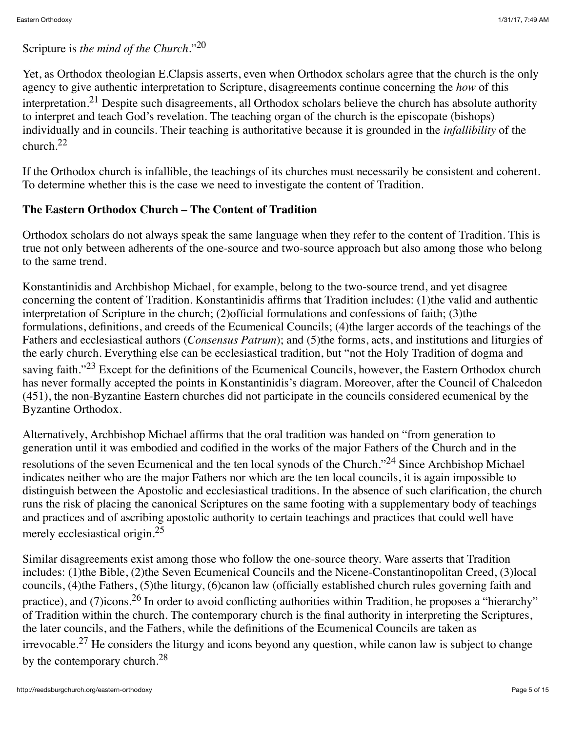## Scripture is *the mind of the Church*."20

Yet, as Orthodox theologian E.Clapsis asserts, even when Orthodox scholars agree that the church is the only agency to give authentic interpretation to Scripture, disagreements continue concerning the *how* of this interpretation.21 Despite such disagreements, all Orthodox scholars believe the church has absolute authority to interpret and teach God's revelation. The teaching organ of the church is the episcopate (bishops) individually and in councils. Their teaching is authoritative because it is grounded in the *infallibility* of the church.<sup>22</sup>

If the Orthodox church is infallible, the teachings of its churches must necessarily be consistent and coherent. To determine whether this is the case we need to investigate the content of Tradition.

#### **The Eastern Orthodox Church – The Content of Tradition**

Orthodox scholars do not always speak the same language when they refer to the content of Tradition. This is true not only between adherents of the one-source and two-source approach but also among those who belong to the same trend.

Konstantinidis and Archbishop Michael, for example, belong to the two-source trend, and yet disagree concerning the content of Tradition. Konstantinidis affirms that Tradition includes: (1)the valid and authentic interpretation of Scripture in the church; (2)official formulations and confessions of faith; (3)the formulations, definitions, and creeds of the Ecumenical Councils; (4)the larger accords of the teachings of the Fathers and ecclesiastical authors (*Consensus Patrum*); and (5)the forms, acts, and institutions and liturgies of the early church. Everything else can be ecclesiastical tradition, but "not the Holy Tradition of dogma and saving faith."<sup>23</sup> Except for the definitions of the Ecumenical Councils, however, the Eastern Orthodox church has never formally accepted the points in Konstantinidis's diagram. Moreover, after the Council of Chalcedon (451), the non-Byzantine Eastern churches did not participate in the councils considered ecumenical by the Byzantine Orthodox.

Alternatively, Archbishop Michael affirms that the oral tradition was handed on "from generation to generation until it was embodied and codified in the works of the major Fathers of the Church and in the resolutions of the seven Ecumenical and the ten local synods of the Church."24 Since Archbishop Michael indicates neither who are the major Fathers nor which are the ten local councils, it is again impossible to distinguish between the Apostolic and ecclesiastical traditions. In the absence of such clarification, the church runs the risk of placing the canonical Scriptures on the same footing with a supplementary body of teachings and practices and of ascribing apostolic authority to certain teachings and practices that could well have merely ecclesiastical origin.<sup>25</sup>

Similar disagreements exist among those who follow the one-source theory. Ware asserts that Tradition includes: (1)the Bible, (2)the Seven Ecumenical Councils and the Nicene-Constantinopolitan Creed, (3)local councils, (4)the Fathers, (5)the liturgy, (6)canon law (officially established church rules governing faith and practice), and (7)icons.<sup>26</sup> In order to avoid conflicting authorities within Tradition, he proposes a "hierarchy" of Tradition within the church. The contemporary church is the final authority in interpreting the Scriptures, the later councils, and the Fathers, while the definitions of the Ecumenical Councils are taken as irrevocable.<sup>27</sup> He considers the liturgy and icons beyond any question, while canon law is subject to change by the contemporary church.<sup>28</sup>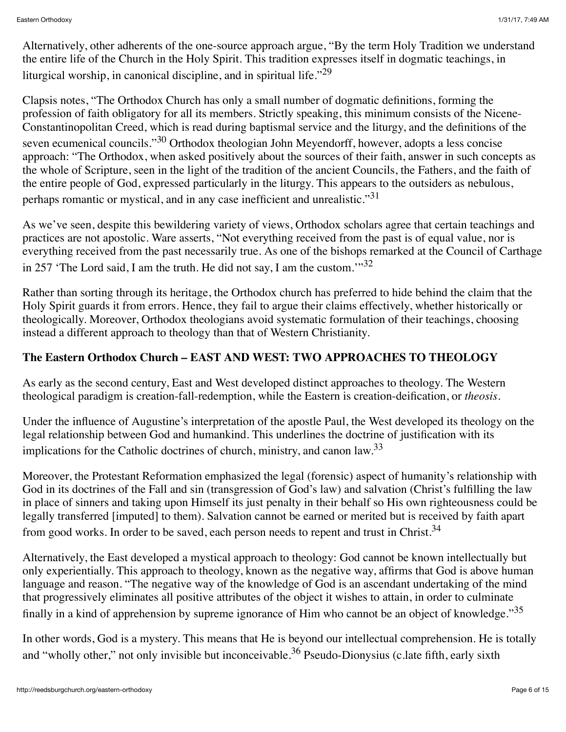Alternatively, other adherents of the one-source approach argue, "By the term Holy Tradition we understand the entire life of the Church in the Holy Spirit. This tradition expresses itself in dogmatic teachings, in liturgical worship, in canonical discipline, and in spiritual life.<sup> $29$ </sup>

Clapsis notes, "The Orthodox Church has only a small number of dogmatic definitions, forming the profession of faith obligatory for all its members. Strictly speaking, this minimum consists of the Nicene-Constantinopolitan Creed, which is read during baptismal service and the liturgy, and the definitions of the seven ecumenical councils."<sup>30</sup> Orthodox theologian John Meyendorff, however, adopts a less concise approach: "The Orthodox, when asked positively about the sources of their faith, answer in such concepts as the whole of Scripture, seen in the light of the tradition of the ancient Councils, the Fathers, and the faith of the entire people of God, expressed particularly in the liturgy. This appears to the outsiders as nebulous, perhaps romantic or mystical, and in any case inefficient and unrealistic."<sup>31</sup>

As we've seen, despite this bewildering variety of views, Orthodox scholars agree that certain teachings and practices are not apostolic. Ware asserts, "Not everything received from the past is of equal value, nor is everything received from the past necessarily true. As one of the bishops remarked at the Council of Carthage in 257 'The Lord said, I am the truth. He did not say, I am the custom.'"<sup>32</sup>

Rather than sorting through its heritage, the Orthodox church has preferred to hide behind the claim that the Holy Spirit guards it from errors. Hence, they fail to argue their claims effectively, whether historically or theologically. Moreover, Orthodox theologians avoid systematic formulation of their teachings, choosing instead a different approach to theology than that of Western Christianity.

## **The Eastern Orthodox Church – EAST AND WEST: TWO APPROACHES TO THEOLOGY**

As early as the second century, East and West developed distinct approaches to theology. The Western theological paradigm is creation-fall-redemption, while the Eastern is creation-deification, or *theosis*.

Under the influence of Augustine's interpretation of the apostle Paul, the West developed its theology on the legal relationship between God and humankind. This underlines the doctrine of justification with its implications for the Catholic doctrines of church, ministry, and canon law.<sup>33</sup>

Moreover, the Protestant Reformation emphasized the legal (forensic) aspect of humanity's relationship with God in its doctrines of the Fall and sin (transgression of God's law) and salvation (Christ's fulfilling the law in place of sinners and taking upon Himself its just penalty in their behalf so His own righteousness could be legally transferred [imputed] to them). Salvation cannot be earned or merited but is received by faith apart from good works. In order to be saved, each person needs to repent and trust in Christ.<sup>34</sup>

Alternatively, the East developed a mystical approach to theology: God cannot be known intellectually but only experientially. This approach to theology, known as the negative way, affirms that God is above human language and reason. "The negative way of the knowledge of God is an ascendant undertaking of the mind that progressively eliminates all positive attributes of the object it wishes to attain, in order to culminate finally in a kind of apprehension by supreme ignorance of Him who cannot be an object of knowledge."<sup>35</sup>

In other words, God is a mystery. This means that He is beyond our intellectual comprehension. He is totally and "wholly other," not only invisible but inconceivable.<sup>36</sup> Pseudo-Dionysius (c.late fifth, early sixth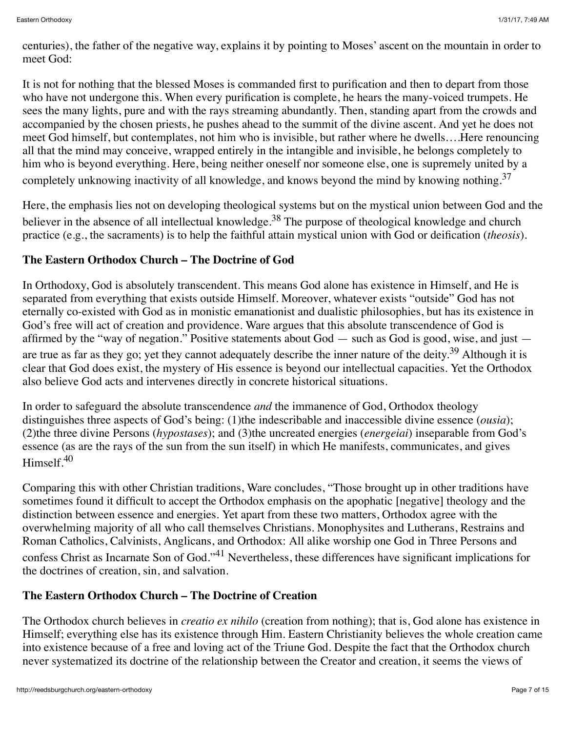centuries), the father of the negative way, explains it by pointing to Moses' ascent on the mountain in order to meet God:

It is not for nothing that the blessed Moses is commanded first to purification and then to depart from those who have not undergone this. When every purification is complete, he hears the many-voiced trumpets. He sees the many lights, pure and with the rays streaming abundantly. Then, standing apart from the crowds and accompanied by the chosen priests, he pushes ahead to the summit of the divine ascent. And yet he does not meet God himself, but contemplates, not him who is invisible, but rather where he dwells….Here renouncing all that the mind may conceive, wrapped entirely in the intangible and invisible, he belongs completely to him who is beyond everything. Here, being neither oneself nor someone else, one is supremely united by a completely unknowing inactivity of all knowledge, and knows beyond the mind by knowing nothing.<sup>37</sup>

Here, the emphasis lies not on developing theological systems but on the mystical union between God and the believer in the absence of all intellectual knowledge.<sup>38</sup> The purpose of theological knowledge and church practice (e.g., the sacraments) is to help the faithful attain mystical union with God or deification (*theosis*).

## **The Eastern Orthodox Church – The Doctrine of God**

In Orthodoxy, God is absolutely transcendent. This means God alone has existence in Himself, and He is separated from everything that exists outside Himself. Moreover, whatever exists "outside" God has not eternally co-existed with God as in monistic emanationist and dualistic philosophies, but has its existence in God's free will act of creation and providence. Ware argues that this absolute transcendence of God is affirmed by the "way of negation." Positive statements about God — such as God is good, wise, and just are true as far as they go; yet they cannot adequately describe the inner nature of the deity.<sup>39</sup> Although it is clear that God does exist, the mystery of His essence is beyond our intellectual capacities. Yet the Orthodox also believe God acts and intervenes directly in concrete historical situations.

In order to safeguard the absolute transcendence *and* the immanence of God, Orthodox theology distinguishes three aspects of God's being: (1)the indescribable and inaccessible divine essence (*ousia*); (2)the three divine Persons (*hypostases*); and (3)the uncreated energies (*energeiai*) inseparable from God's essence (as are the rays of the sun from the sun itself) in which He manifests, communicates, and gives Himself.<sup>40</sup>

Comparing this with other Christian traditions, Ware concludes, "Those brought up in other traditions have sometimes found it difficult to accept the Orthodox emphasis on the apophatic [negative] theology and the distinction between essence and energies. Yet apart from these two matters, Orthodox agree with the overwhelming majority of all who call themselves Christians. Monophysites and Lutherans, Restrains and Roman Catholics, Calvinists, Anglicans, and Orthodox: All alike worship one God in Three Persons and confess Christ as Incarnate Son of God."41 Nevertheless, these differences have significant implications for the doctrines of creation, sin, and salvation.

## **The Eastern Orthodox Church – The Doctrine of Creation**

The Orthodox church believes in *creatio ex nihilo* (creation from nothing); that is, God alone has existence in Himself; everything else has its existence through Him. Eastern Christianity believes the whole creation came into existence because of a free and loving act of the Triune God. Despite the fact that the Orthodox church never systematized its doctrine of the relationship between the Creator and creation, it seems the views of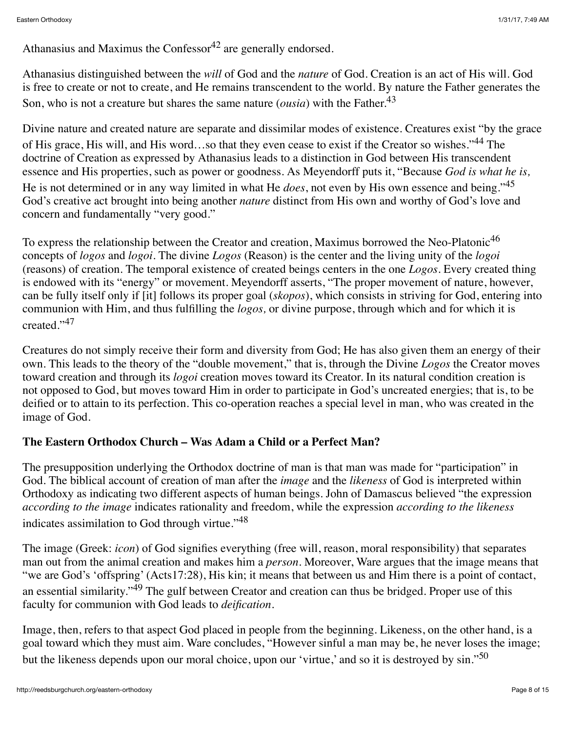Athanasius and Maximus the Confessor<sup>42</sup> are generally endorsed.

Athanasius distinguished between the *will* of God and the *nature* of God. Creation is an act of His will. God is free to create or not to create, and He remains transcendent to the world. By nature the Father generates the Son, who is not a creature but shares the same nature (*ousia*) with the Father.<sup>43</sup>

Divine nature and created nature are separate and dissimilar modes of existence. Creatures exist "by the grace of His grace, His will, and His word…so that they even cease to exist if the Creator so wishes."44 The doctrine of Creation as expressed by Athanasius leads to a distinction in God between His transcendent essence and His properties, such as power or goodness. As Meyendorff puts it, "Because *God is what he is,* He is not determined or in any way limited in what He *does*, not even by His own essence and being."<sup>45</sup> God's creative act brought into being another *nature* distinct from His own and worthy of God's love and concern and fundamentally "very good."

To express the relationship between the Creator and creation, Maximus borrowed the Neo-Platonic<sup>46</sup> concepts of *logos* and *logoi.* The divine *Logos* (Reason) is the center and the living unity of the *logoi* (reasons) of creation. The temporal existence of created beings centers in the one *Logos*. Every created thing is endowed with its "energy" or movement. Meyendorff asserts, "The proper movement of nature, however, can be fully itself only if [it] follows its proper goal (*skopos*), which consists in striving for God, entering into communion with Him, and thus fulfilling the *logos,* or divine purpose, through which and for which it is created."<sup>47</sup>

Creatures do not simply receive their form and diversity from God; He has also given them an energy of their own. This leads to the theory of the "double movement," that is, through the Divine *Logos* the Creator moves toward creation and through its *logoi* creation moves toward its Creator. In its natural condition creation is not opposed to God, but moves toward Him in order to participate in God's uncreated energies; that is, to be deified or to attain to its perfection. This co-operation reaches a special level in man, who was created in the image of God.

## **The Eastern Orthodox Church – Was Adam a Child or a Perfect Man?**

The presupposition underlying the Orthodox doctrine of man is that man was made for "participation" in God. The biblical account of creation of man after the *image* and the *likeness* of God is interpreted within Orthodoxy as indicating two different aspects of human beings. John of Damascus believed "the expression *according to the image* indicates rationality and freedom, while the expression *according to the likeness* indicates assimilation to God through virtue."<sup>48</sup>

The image (Greek: *icon*) of God signifies everything (free will, reason, moral responsibility) that separates man out from the animal creation and makes him a *person*. Moreover, Ware argues that the image means that "we are God's 'offspring' (Acts17:28), His kin; it means that between us and Him there is a point of contact, an essential similarity."49 The gulf between Creator and creation can thus be bridged. Proper use of this faculty for communion with God leads to *deification*.

Image, then, refers to that aspect God placed in people from the beginning. Likeness, on the other hand, is a goal toward which they must aim. Ware concludes, "However sinful a man may be, he never loses the image; but the likeness depends upon our moral choice, upon our 'virtue,' and so it is destroyed by sin."<sup>50</sup>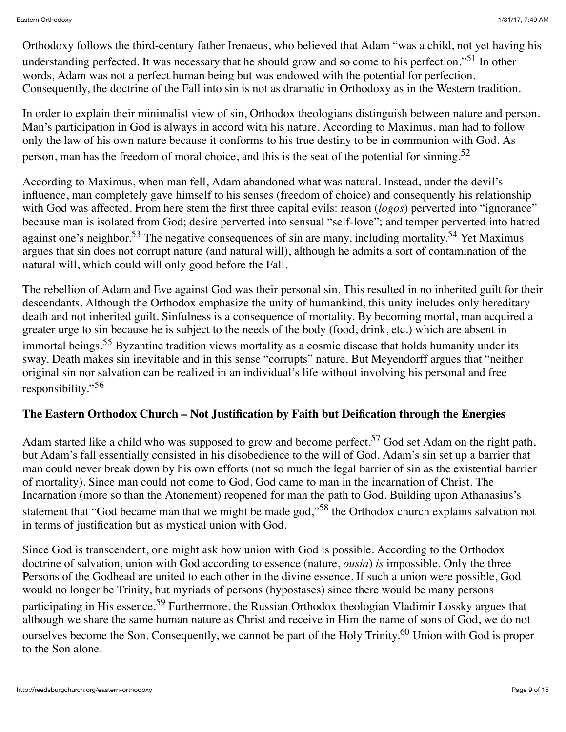Orthodoxy follows the third-century father Irenaeus, who believed that Adam "was a child, not yet having his understanding perfected. It was necessary that he should grow and so come to his perfection."<sup>51</sup> In other words, Adam was not a perfect human being but was endowed with the potential for perfection. Consequently, the doctrine of the Fall into sin is not as dramatic in Orthodoxy as in the Western tradition.

In order to explain their minimalist view of sin, Orthodox theologians distinguish between nature and person. Man's participation in God is always in accord with his nature. According to Maximus, man had to follow only the law of his own nature because it conforms to his true destiny to be in communion with God. As person, man has the freedom of moral choice, and this is the seat of the potential for sinning.<sup>52</sup>

According to Maximus, when man fell, Adam abandoned what was natural. Instead, under the devil's influence, man completely gave himself to his senses (freedom of choice) and consequently his relationship with God was affected. From here stem the first three capital evils: reason (*logos*) perverted into "ignorance" because man is isolated from God; desire perverted into sensual "self-love"; and temper perverted into hatred against one's neighbor.<sup>53</sup> The negative consequences of sin are many, including mortality.<sup>54</sup> Yet Maximus argues that sin does not corrupt nature (and natural will), although he admits a sort of contamination of the natural will, which could will only good before the Fall.

The rebellion of Adam and Eve against God was their personal sin. This resulted in no inherited guilt for their descendants. Although the Orthodox emphasize the unity of humankind, this unity includes only hereditary death and not inherited guilt. Sinfulness is a consequence of mortality. By becoming mortal, man acquired a greater urge to sin because he is subject to the needs of the body (food, drink, etc.) which are absent in immortal beings.<sup>55</sup> Byzantine tradition views mortality as a cosmic disease that holds humanity under its sway. Death makes sin inevitable and in this sense "corrupts" nature. But Meyendorff argues that "neither original sin nor salvation can be realized in an individual's life without involving his personal and free responsibility."56

#### **The Eastern Orthodox Church – Not Justification by Faith but Deification through the Energies**

Adam started like a child who was supposed to grow and become perfect.<sup>57</sup> God set Adam on the right path, but Adam's fall essentially consisted in his disobedience to the will of God. Adam's sin set up a barrier that man could never break down by his own efforts (not so much the legal barrier of sin as the existential barrier of mortality). Since man could not come to God, God came to man in the incarnation of Christ. The Incarnation (more so than the Atonement) reopened for man the path to God. Building upon Athanasius's statement that "God became man that we might be made god,"<sup>58</sup> the Orthodox church explains salvation not in terms of justification but as mystical union with God.

Since God is transcendent, one might ask how union with God is possible. According to the Orthodox doctrine of salvation, union with God according to essence (nature, *ousia*) *is* impossible. Only the three Persons of the Godhead are united to each other in the divine essence. If such a union were possible, God would no longer be Trinity, but myriads of persons (hypostases) since there would be many persons participating in His essence.<sup>59</sup> Furthermore, the Russian Orthodox theologian Vladimir Lossky argues that although we share the same human nature as Christ and receive in Him the name of sons of God, we do not ourselves become the Son. Consequently, we cannot be part of the Holy Trinity.<sup>60</sup> Union with God is proper to the Son alone.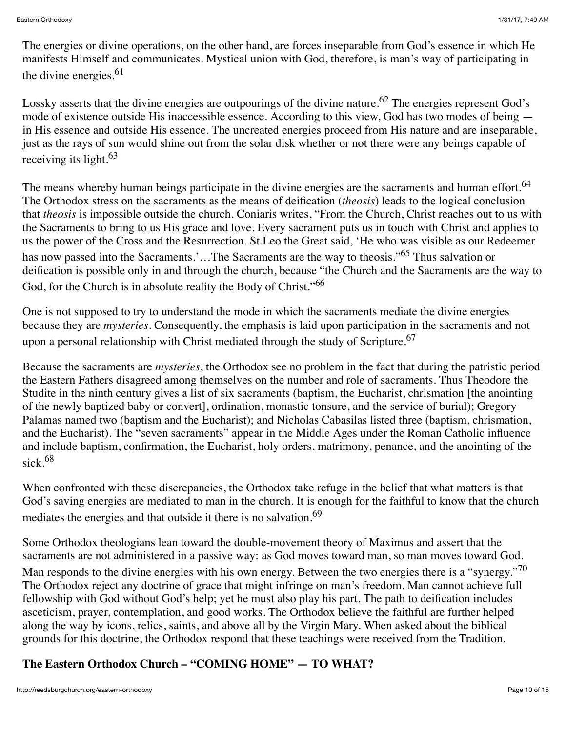The energies or divine operations, on the other hand, are forces inseparable from God's essence in which He manifests Himself and communicates. Mystical union with God, therefore, is man's way of participating in the divine energies. $61$ 

Lossky asserts that the divine energies are outpourings of the divine nature.<sup>62</sup> The energies represent God's mode of existence outside His inaccessible essence. According to this view, God has two modes of being in His essence and outside His essence. The uncreated energies proceed from His nature and are inseparable, just as the rays of sun would shine out from the solar disk whether or not there were any beings capable of receiving its light.<sup>63</sup>

The means whereby human beings participate in the divine energies are the sacraments and human effort.<sup>64</sup> The Orthodox stress on the sacraments as the means of deification (*theosis*) leads to the logical conclusion that *theosis* is impossible outside the church. Coniaris writes, "From the Church, Christ reaches out to us with the Sacraments to bring to us His grace and love. Every sacrament puts us in touch with Christ and applies to us the power of the Cross and the Resurrection. St.Leo the Great said, 'He who was visible as our Redeemer has now passed into the Sacraments.'...The Sacraments are the way to theosis."<sup>65</sup> Thus salvation or deification is possible only in and through the church, because "the Church and the Sacraments are the way to God, for the Church is in absolute reality the Body of Christ."<sup>66</sup>

One is not supposed to try to understand the mode in which the sacraments mediate the divine energies because they are *mysteries*. Consequently, the emphasis is laid upon participation in the sacraments and not upon a personal relationship with Christ mediated through the study of Scripture.<sup>67</sup>

Because the sacraments are *mysteries*, the Orthodox see no problem in the fact that during the patristic period the Eastern Fathers disagreed among themselves on the number and role of sacraments. Thus Theodore the Studite in the ninth century gives a list of six sacraments (baptism, the Eucharist, chrismation [the anointing of the newly baptized baby or convert], ordination, monastic tonsure, and the service of burial); Gregory Palamas named two (baptism and the Eucharist); and Nicholas Cabasilas listed three (baptism, chrismation, and the Eucharist). The "seven sacraments" appear in the Middle Ages under the Roman Catholic influence and include baptism, confirmation, the Eucharist, holy orders, matrimony, penance, and the anointing of the sick  $68$ 

When confronted with these discrepancies, the Orthodox take refuge in the belief that what matters is that God's saving energies are mediated to man in the church. It is enough for the faithful to know that the church mediates the energies and that outside it there is no salvation.<sup>69</sup>

Some Orthodox theologians lean toward the double-movement theory of Maximus and assert that the sacraments are not administered in a passive way: as God moves toward man, so man moves toward God.

Man responds to the divine energies with his own energy. Between the two energies there is a "synergy."<sup>70</sup> The Orthodox reject any doctrine of grace that might infringe on man's freedom. Man cannot achieve full fellowship with God without God's help; yet he must also play his part. The path to deification includes asceticism, prayer, contemplation, and good works. The Orthodox believe the faithful are further helped along the way by icons, relics, saints, and above all by the Virgin Mary. When asked about the biblical grounds for this doctrine, the Orthodox respond that these teachings were received from the Tradition.

# **The Eastern Orthodox Church – "COMING HOME" — TO WHAT?**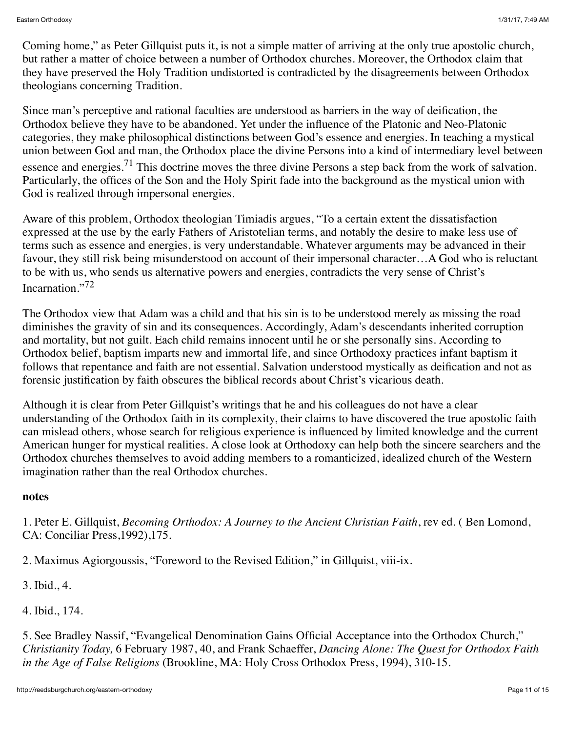Coming home," as Peter Gillquist puts it, is not a simple matter of arriving at the only true apostolic church, but rather a matter of choice between a number of Orthodox churches. Moreover, the Orthodox claim that they have preserved the Holy Tradition undistorted is contradicted by the disagreements between Orthodox theologians concerning Tradition.

Since man's perceptive and rational faculties are understood as barriers in the way of deification, the Orthodox believe they have to be abandoned. Yet under the influence of the Platonic and Neo-Platonic categories, they make philosophical distinctions between God's essence and energies. In teaching a mystical union between God and man, the Orthodox place the divine Persons into a kind of intermediary level between essence and energies.<sup>71</sup> This doctrine moves the three divine Persons a step back from the work of salvation. Particularly, the offices of the Son and the Holy Spirit fade into the background as the mystical union with God is realized through impersonal energies.

Aware of this problem, Orthodox theologian Timiadis argues, "To a certain extent the dissatisfaction expressed at the use by the early Fathers of Aristotelian terms, and notably the desire to make less use of terms such as essence and energies, is very understandable. Whatever arguments may be advanced in their favour, they still risk being misunderstood on account of their impersonal character…A God who is reluctant to be with us, who sends us alternative powers and energies, contradicts the very sense of Christ's Incarnation."<sup>72</sup>

The Orthodox view that Adam was a child and that his sin is to be understood merely as missing the road diminishes the gravity of sin and its consequences. Accordingly, Adam's descendants inherited corruption and mortality, but not guilt. Each child remains innocent until he or she personally sins. According to Orthodox belief, baptism imparts new and immortal life, and since Orthodoxy practices infant baptism it follows that repentance and faith are not essential. Salvation understood mystically as deification and not as forensic justification by faith obscures the biblical records about Christ's vicarious death.

Although it is clear from Peter Gillquist's writings that he and his colleagues do not have a clear understanding of the Orthodox faith in its complexity, their claims to have discovered the true apostolic faith can mislead others, whose search for religious experience is influenced by limited knowledge and the current American hunger for mystical realities. A close look at Orthodoxy can help both the sincere searchers and the Orthodox churches themselves to avoid adding members to a romanticized, idealized church of the Western imagination rather than the real Orthodox churches.

#### **notes**

1. Peter E. Gillquist, *Becoming Orthodox: A Journey to the Ancient Christian Faith*, rev ed. ( Ben Lomond, CA: Conciliar Press,1992),175.

2. Maximus Agiorgoussis, "Foreword to the Revised Edition," in Gillquist, viii-ix.

3. Ibid., 4.

4. Ibid., 174.

5. See Bradley Nassif, "Evangelical Denomination Gains Official Acceptance into the Orthodox Church," *Christianity Today,* 6 February 1987, 40, and Frank Schaeffer, *Dancing Alone: The Quest for Orthodox Faith in the Age of False Religions* (Brookline, MA: Holy Cross Orthodox Press, 1994), 310-15.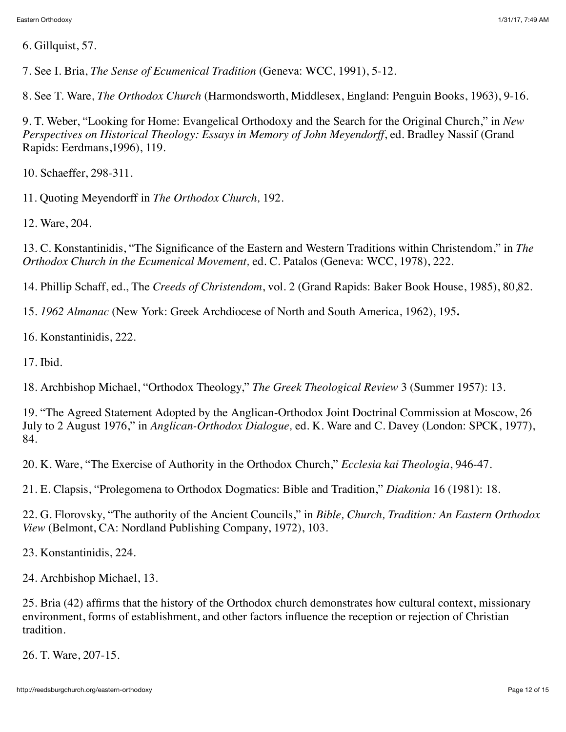6. Gillquist, 57.

7. See I. Bria, *The Sense of Ecumenical Tradition* (Geneva: WCC, 1991), 5-12.

8. See T. Ware, *The Orthodox Church* (Harmondsworth, Middlesex, England: Penguin Books, 1963), 9-16.

9. T. Weber, "Looking for Home: Evangelical Orthodoxy and the Search for the Original Church," in *New Perspectives on Historical Theology: Essays in Memory of John Meyendorff*, ed. Bradley Nassif (Grand Rapids: Eerdmans,1996), 119.

10. Schaeffer, 298-311.

11. Quoting Meyendorff in *The Orthodox Church,* 192.

12. Ware, 204.

13. C. Konstantinidis, "The Significance of the Eastern and Western Traditions within Christendom," in *The Orthodox Church in the Ecumenical Movement,* ed. C. Patalos (Geneva: WCC, 1978), 222.

14. Phillip Schaff, ed., The *Creeds of Christendom*, vol. 2 (Grand Rapids: Baker Book House, 1985), 80,82.

15. *1962 Almanac* (New York: Greek Archdiocese of North and South America, 1962), 195**.**

16. Konstantinidis, 222.

17. Ibid.

18. Archbishop Michael, "Orthodox Theology," *The Greek Theological Review* 3 (Summer 1957): 13.

19. "The Agreed Statement Adopted by the Anglican-Orthodox Joint Doctrinal Commission at Moscow, 26 July to 2 August 1976," in *Anglican-Orthodox Dialogue,* ed. K. Ware and C. Davey (London: SPCK, 1977), 84.

20. K. Ware, "The Exercise of Authority in the Orthodox Church," *Ecclesia kai Theologia*, 946-47.

21. E. Clapsis, "Prolegomena to Orthodox Dogmatics: Bible and Tradition," *Diakonia* 16 (1981): 18.

22. G. Florovsky, "The authority of the Ancient Councils," in *Bible, Church, Tradition: An Eastern Orthodox View* (Belmont, CA: Nordland Publishing Company, 1972), 103.

23. Konstantinidis, 224.

24. Archbishop Michael, 13.

25. Bria (42) affirms that the history of the Orthodox church demonstrates how cultural context, missionary environment, forms of establishment, and other factors influence the reception or rejection of Christian tradition.

26. T. Ware, 207-15.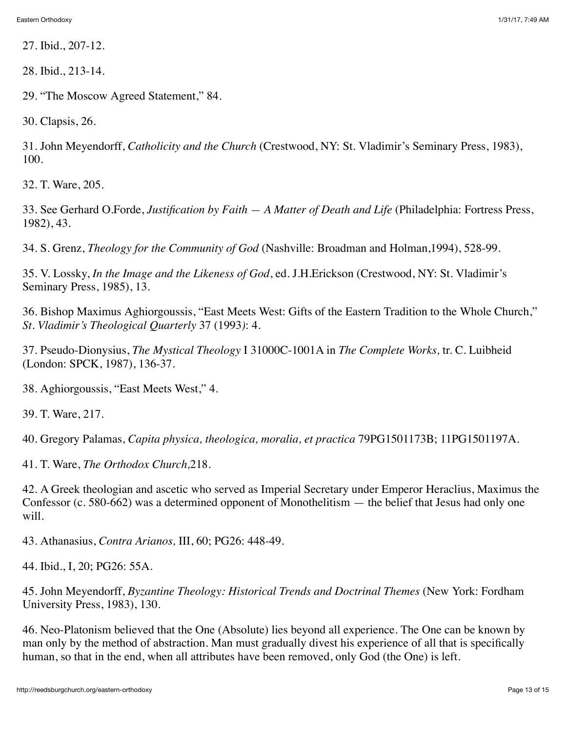27. Ibid., 207-12.

28. Ibid., 213-14.

29. "The Moscow Agreed Statement," 84.

30. Clapsis, 26.

31. John Meyendorff, *Catholicity and the Church* (Crestwood, NY: St. Vladimir's Seminary Press, 1983), 100.

32. T. Ware, 205.

33. See Gerhard O.Forde, *Justification by Faith — A Matter of Death and Life* (Philadelphia: Fortress Press, 1982), 43.

34. S. Grenz, *Theology for the Community of God* (Nashville: Broadman and Holman,1994), 528-99.

35. V. Lossky, *In the Image and the Likeness of God*, ed. J.H.Erickson (Crestwood, NY: St. Vladimir's Seminary Press, 1985), 13.

36. Bishop Maximus Aghiorgoussis, "East Meets West: Gifts of the Eastern Tradition to the Whole Church," *St. Vladimir's Theological Quarterly* 37 (1993*)*: 4.

37. Pseudo-Dionysius, *The Mystical Theology* I 31000C-1001A in *The Complete Works,* tr. C. Luibheid (London: SPCK, 1987), 136-37.

38. Aghiorgoussis, "East Meets West," 4.

39. T. Ware, 217.

40. Gregory Palamas, *Capita physica, theologica, moralia, et practica* 79PG1501173B; 11PG1501197A.

41. T. Ware, *The Orthodox Church,*218.

42. A Greek theologian and ascetic who served as Imperial Secretary under Emperor Heraclius, Maximus the Confessor (c. 580-662) was a determined opponent of Monothelitism — the belief that Jesus had only one will.

43. Athanasius, *Contra Arianos,* III, 60; PG26: 448-49.

44. Ibid., I, 20; PG26: 55A.

45. John Meyendorff, *Byzantine Theology: Historical Trends and Doctrinal Themes* (New York: Fordham University Press, 1983), 130.

46. Neo-Platonism believed that the One (Absolute) lies beyond all experience. The One can be known by man only by the method of abstraction. Man must gradually divest his experience of all that is specifically human, so that in the end, when all attributes have been removed, only God (the One) is left.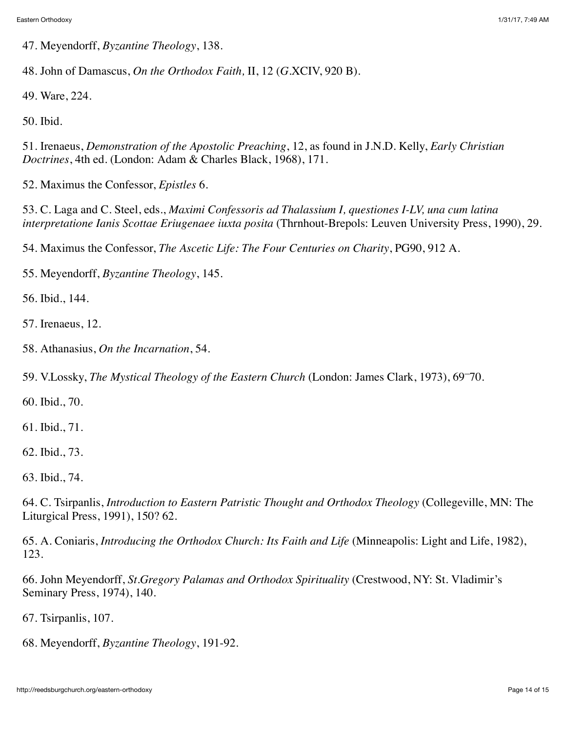47. Meyendorff, *Byzantine Theology*, 138.

48. John of Damascus, *On the Orthodox Faith,* II, 12 (*G.*XCIV, 920 B).

49. Ware, 224.

50. Ibid.

51. Irenaeus, *Demonstration of the Apostolic Preaching*, 12, as found in J.N.D. Kelly, *Early Christian Doctrines*, 4th ed. (London: Adam & Charles Black, 1968), 171.

52. Maximus the Confessor, *Epistles* 6.

53. C. Laga and C. Steel, eds., *Maximi Confessoris ad Thalassium I, questiones I-LV, una cum latina interpretatione Ianis Scottae Eriugenaee iuxta posita* (Thrnhout-Brepols: Leuven University Press, 1990), 29.

54. Maximus the Confessor, *The Ascetic Life: The Four Centuries on Charity*, PG90, 912 A.

55. Meyendorff, *Byzantine Theology*, 145.

56. Ibid., 144.

57. Irenaeus, 12.

58. Athanasius, *On the Incarnation*, 54.

59. V.Lossky, *The Mystical Theology of the Eastern Church* (London: James Clark, 1973), 69–70.

60. Ibid., 70.

61. Ibid., 71.

62. Ibid., 73.

63. Ibid., 74.

64. C. Tsirpanlis, *Introduction to Eastern Patristic Thought and Orthodox Theology* (Collegeville, MN: The Liturgical Press, 1991), 150? 62.

65. A. Coniaris, *Introducing the Orthodox Church: Its Faith and Life* (Minneapolis: Light and Life, 1982), 123.

66. John Meyendorff, *St.Gregory Palamas and Orthodox Spirituality* (Crestwood, NY: St. Vladimir's Seminary Press, 1974), 140.

67. Tsirpanlis, 107.

68. Meyendorff, *Byzantine Theology*, 191-92.